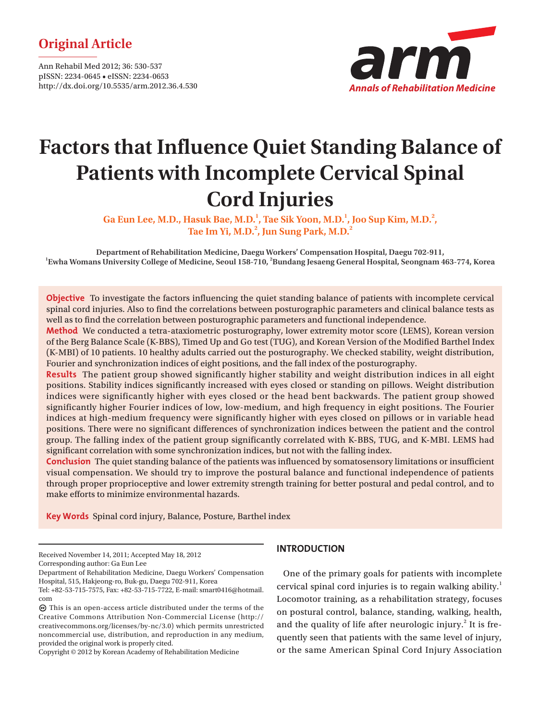# **Original Article**

Ann Rehabil Med 2012; 36: 530-537 pISSN: 2234-0645 • eISSN: 2234-0653 http://dx.doi.org/10.5535/arm.2012.36.4.530



# **Factors that Influence Quiet Standing Balance of Patients with Incomplete Cervical Spinal Cord Injuries**

Ga Eun Lee, M.D., Hasuk Bae, M.D.<sup>1</sup>, Tae Sik Yoon, M.D.<sup>1</sup>, Joo Sup Kim, M.D.<sup>2</sup>, Tae Im Yi, M.D.<sup>2</sup>, Jun Sung Park, M.D.<sup>2</sup>

**Department of Rehabilitation Medicine, Daegu Workers' Compensation Hospital, Daegu 702-911, 1 Ewha Womans University College of Medicine, Seoul 158-710, 2 Bundang Jesaeng General Hospital, Seongnam 463-774, Korea**

**Objective** To investigate the factors influencing the quiet standing balance of patients with incomplete cervical spinal cord injuries. Also to find the correlations between posturographic parameters and clinical balance tests as well as to find the correlation between posturographic parameters and functional independence.

**Method** We conducted a tetra-ataxiometric posturography, lower extremity motor score (LEMS), Korean version of the Berg Balance Scale (K-BBS), Timed Up and Go test (TUG), and Korean Version of the Modified Barthel Index (K-MBI) of 10 patients. 10 healthy adults carried out the posturography. We checked stability, weight distribution, Fourier and synchronization indices of eight positions, and the fall index of the posturography.

**Results** The patient group showed significantly higher stability and weight distribution indices in all eight positions. Stability indices significantly increased with eyes closed or standing on pillows. Weight distribution indices were significantly higher with eyes closed or the head bent backwards. The patient group showed significantly higher Fourier indices of low, low-medium, and high frequency in eight positions. The Fourier indices at high-medium frequency were significantly higher with eyes closed on pillows or in variable head positions. There were no significant differences of synchronization indices between the patient and the control group. The falling index of the patient group significantly correlated with K-BBS, TUG, and K-MBI. LEMS had significant correlation with some synchronization indices, but not with the falling index.

**Conclusion** The quiet standing balance of the patients was influenced by somatosensory limitations or insufficient visual compensation. We should try to improve the postural balance and functional independence of patients through proper proprioceptive and lower extremity strength training for better postural and pedal control, and to make efforts to minimize environmental hazards.

**Key Words** Spinal cord injury, Balance, Posture, Barthel index

Received November 14, 2011; Accepted May 18, 2012

Corresponding author: Ga Eun Lee

Copyright © 2012 by Korean Academy of Rehabilitation Medicine

## **INTRODUCTION**

One of the primary goals for patients with incomplete cervical spinal cord injuries is to regain walking ability.<sup>1</sup> Locomotor training, as a rehabilitation strategy, focuses on postural control, balance, standing, walking, health, and the quality of life after neurologic injury. $2$  It is frequently seen that patients with the same level of injury, or the same American Spinal Cord Injury Association

Department of Rehabilitation Medicine, Daegu Workers' Compensation Hospital, 515, Hakjeong-ro, Buk-gu, Daegu 702-911, Korea

Tel: +82-53-715-7575, Fax: +82-53-715-7722, E-mail: smart0416@hotmail. com

This is an open-access article distributed under the terms of the Creative Commons Attribution Non-Commercial License (http:// creativecommons.org/licenses/by-nc/3.0) which permits unrestricted noncommercial use, distribution, and reproduction in any medium, provided the original work is properly cited.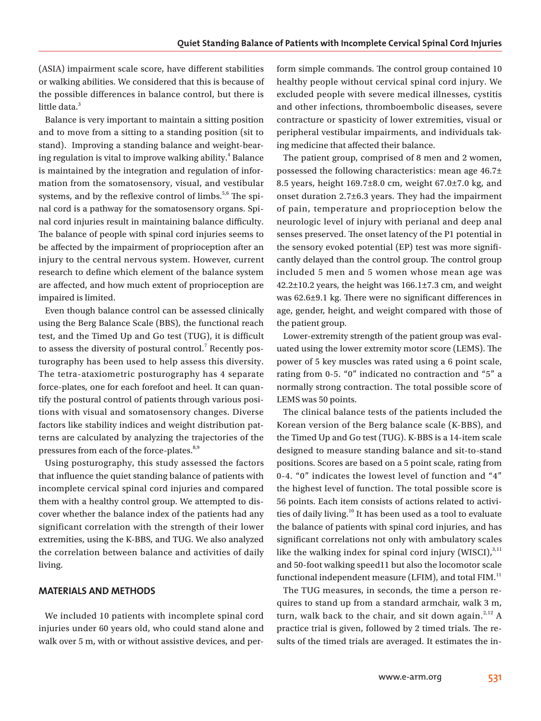(ASIA) impairment scale score, have different stabilities or walking abilities. We considered that this is because of the possible differences in balance control, but there is little data.<sup>3</sup>

Balance is very important to maintain a sitting position and to move from a sitting to a standing position (sit to stand). Improving a standing balance and weight-bearing regulation is vital to improve walking ability. $^4$  Balance is maintained by the integration and regulation of information from the somatosensory, visual, and vestibular systems, and by the reflexive control of limbs.<sup>5,6</sup> The spinal cord is a pathway for the somatosensory organs. Spinal cord injuries result in maintaining balance difficulty. The balance of people with spinal cord injuries seems to be affected by the impairment of proprioception after an injury to the central nervous system. However, current research to define which element of the balance system are affected, and how much extent of proprioception are impaired is limited.

Even though balance control can be assessed clinically using the Berg Balance Scale (BBS), the functional reach test, and the Timed Up and Go test (TUG), it is difficult to assess the diversity of postural control.<sup>7</sup> Recently posturography has been used to help assess this diversity. The tetra-ataxiometric posturography has 4 separate force-plates, one for each forefoot and heel. It can quantify the postural control of patients through various positions with visual and somatosensory changes. Diverse factors like stability indices and weight distribution patterns are calculated by analyzing the trajectories of the pressures from each of the force-plates.<sup>8,9</sup>

Using posturography, this study assessed the factors that influence the quiet standing balance of patients with incomplete cervical spinal cord injuries and compared them with a healthy control group. We attempted to discover whether the balance index of the patients had any significant correlation with the strength of their lower extremities, using the K-BBS, and TUG. We also analyzed the correlation between balance and activities of daily living.

## **MATERIALS AND METHODS**

We included 10 patients with incomplete spinal cord injuries under 60 years old, who could stand alone and walk over 5 m, with or without assistive devices, and per-

form simple commands. The control group contained 10 healthy people without cervical spinal cord injury. We excluded people with severe medical illnesses, cystitis and other infections, thromboembolic diseases, severe contracture or spasticity of lower extremities, visual or peripheral vestibular impairments, and individuals taking medicine that affected their balance.

The patient group, comprised of 8 men and 2 women, possessed the following characteristics: mean age 46.7± 8.5 years, height 169.7±8.0 cm, weight 67.0±7.0 kg, and onset duration 2.7±6.3 years. They had the impairment of pain, temperature and proprioception below the neurologic level of injury with perianal and deep anal senses preserved. The onset latency of the P1 potential in the sensory evoked potential (EP) test was more significantly delayed than the control group. The control group included 5 men and 5 women whose mean age was  $42.2\pm10.2$  years, the height was  $166.1\pm7.3$  cm, and weight was 62.6±9.1 kg. There were no significant differences in age, gender, height, and weight compared with those of the patient group.

Lower-extremity strength of the patient group was evaluated using the lower extremity motor score (LEMS). The power of 5 key muscles was rated using a 6 point scale, rating from 0-5. "0" indicated no contraction and "5" a normally strong contraction. The total possible score of LEMS was 50 points.

The clinical balance tests of the patients included the Korean version of the Berg balance scale (K-BBS), and the Timed Up and Go test (TUG). K-BBS is a 14-item scale designed to measure standing balance and sit-to-stand positions. Scores are based on a 5 point scale, rating from 0-4. "0" indicates the lowest level of function and "4" the highest level of function. The total possible score is 56 points. Each item consists of actions related to activities of daily living.<sup>10</sup> It has been used as a tool to evaluate the balance of patients with spinal cord injuries, and has significant correlations not only with ambulatory scales like the walking index for spinal cord injury (WISCI), $3,11$ and 50-foot walking speed11 but also the locomotor scale functional independent measure (LFIM), and total FIM. $<sup>11</sup>$ </sup>

The TUG measures, in seconds, the time a person requires to stand up from a standard armchair, walk 3 m, turn, walk back to the chair, and sit down again.<sup>2,12</sup> A practice trial is given, followed by 2 timed trials. The results of the timed trials are averaged. It estimates the in-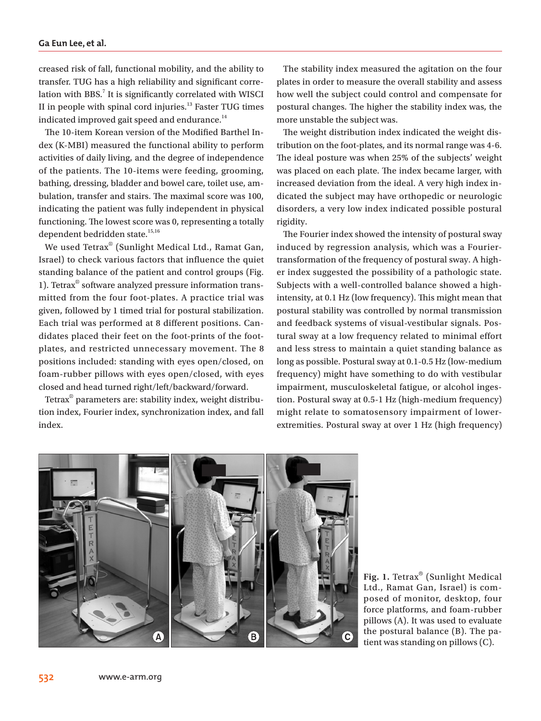#### **Ga Eun Lee, et al.**

creased risk of fall, functional mobility, and the ability to transfer. TUG has a high reliability and significant correlation with BBS. $^7$  It is significantly correlated with WISCI II in people with spinal cord injuries.<sup>13</sup> Faster TUG times indicated improved gait speed and endurance. $14$ 

The 10-item Korean version of the Modified Barthel Index (K-MBI) measured the functional ability to perform activities of daily living, and the degree of independence of the patients. The 10-items were feeding, grooming, bathing, dressing, bladder and bowel care, toilet use, ambulation, transfer and stairs. The maximal score was 100, indicating the patient was fully independent in physical functioning. The lowest score was 0, representing a totally dependent bedridden state.<sup>15,16</sup>

We used Tetrax® (Sunlight Medical Ltd., Ramat Gan, Israel) to check various factors that influence the quiet standing balance of the patient and control groups (Fig. 1). Tetrax® software analyzed pressure information transmitted from the four foot-plates. A practice trial was given, followed by 1 timed trial for postural stabilization. Each trial was performed at 8 different positions. Candidates placed their feet on the foot-prints of the footplates, and restricted unnecessary movement. The 8 positions included: standing with eyes open/closed, on foam-rubber pillows with eyes open/closed, with eyes closed and head turned right/left/backward/forward.

Tetrax® parameters are: stability index, weight distribution index, Fourier index, synchronization index, and fall index.

The stability index measured the agitation on the four plates in order to measure the overall stability and assess how well the subject could control and compensate for postural changes. The higher the stability index was, the more unstable the subject was.

The weight distribution index indicated the weight distribution on the foot-plates, and its normal range was 4-6. The ideal posture was when 25% of the subjects' weight was placed on each plate. The index became larger, with increased deviation from the ideal. A very high index indicated the subject may have orthopedic or neurologic disorders, a very low index indicated possible postural rigidity.

The Fourier index showed the intensity of postural sway induced by regression analysis, which was a Fouriertransformation of the frequency of postural sway. A higher index suggested the possibility of a pathologic state. Subjects with a well-controlled balance showed a highintensity, at 0.1 Hz (low frequency). This might mean that postural stability was controlled by normal transmission and feedback systems of visual-vestibular signals. Postural sway at a low frequency related to minimal effort and less stress to maintain a quiet standing balance as long as possible. Postural sway at 0.1-0.5 Hz (low-medium frequency) might have something to do with vestibular impairment, musculoskeletal fatigue, or alcohol ingestion. Postural sway at 0.5-1 Hz (high-medium frequency) might relate to somatosensory impairment of lowerextremities. Postural sway at over 1 Hz (high frequency)



**Fig. 1.** Tetrax® (Sunlight Medical Ltd., Ramat Gan, Israel) is composed of monitor, desktop, four force platforms, and foam-rubber pillows (A). It was used to evaluate the postural balance (B). The patient was standing on pillows (C).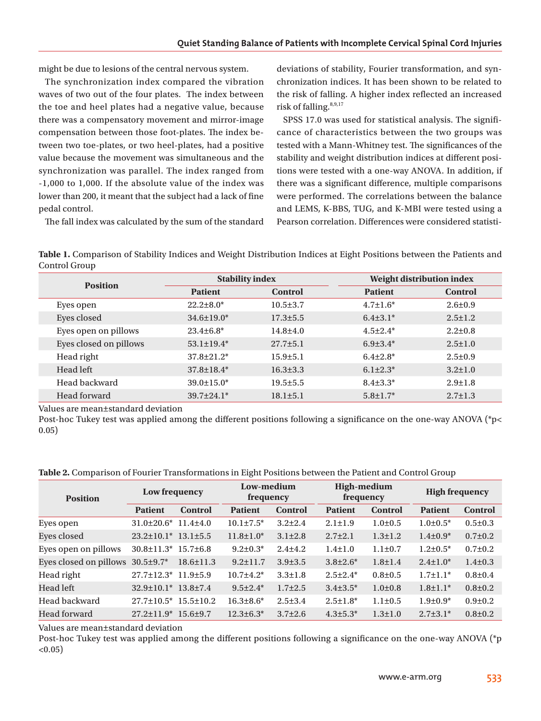might be due to lesions of the central nervous system.

The synchronization index compared the vibration waves of two out of the four plates. The index between the toe and heel plates had a negative value, because there was a compensatory movement and mirror-image compensation between those foot-plates. The index between two toe-plates, or two heel-plates, had a positive value because the movement was simultaneous and the synchronization was parallel. The index ranged from -1,000 to 1,000. If the absolute value of the index was lower than 200, it meant that the subject had a lack of fine pedal control.

deviations of stability, Fourier transformation, and synchronization indices. It has been shown to be related to the risk of falling. A higher index reflected an increased risk of falling.<sup>8,9,17</sup>

SPSS 17.0 was used for statistical analysis. The significance of characteristics between the two groups was tested with a Mann-Whitney test. The significances of the stability and weight distribution indices at different positions were tested with a one-way ANOVA. In addition, if there was a significant difference, multiple comparisons were performed. The correlations between the balance and LEMS, K-BBS, TUG, and K-MBI were tested using a Pearson correlation. Differences were considered statisti-

The fall index was calculated by the sum of the standard

**Table 1.** Comparison of Stability Indices and Weight Distribution Indices at Eight Positions between the Patients and Control Group

| <b>Position</b>        | <b>Stability index</b> |                | Weight distribution index |                |  |
|------------------------|------------------------|----------------|---------------------------|----------------|--|
|                        | <b>Patient</b>         | <b>Control</b> | <b>Patient</b>            | <b>Control</b> |  |
| Eyes open              | $22.2 \pm 8.0^*$       | $10.5 \pm 3.7$ | $4.7 \pm 1.6^*$           | $2.6 \pm 0.9$  |  |
| Eyes closed            | $34.6 \pm 19.0^*$      | $17.3 \pm 5.5$ | $6.4\pm3.1*$              | $2.5 \pm 1.2$  |  |
| Eyes open on pillows   | $23.4\pm 6.8^*$        | $14.8{\pm}4.0$ | $4.5 + 2.4*$              | $2.2 \pm 0.8$  |  |
| Eyes closed on pillows | $53.1 \pm 19.4*$       | $27.7 \pm 5.1$ | $6.9{\pm}3.4*$            | $2.5 \pm 1.0$  |  |
| Head right             | $37.8 \pm 21.2^*$      | $15.9 \pm 5.1$ | $6.4{\pm}2.8*$            | $2.5 \pm 0.9$  |  |
| Head left              | $37.8 \pm 18.4*$       | $16.3 \pm 3.3$ | $6.1 + 2.3^*$             | $3.2 \pm 1.0$  |  |
| Head backward          | $39.0 \pm 15.0*$       | $19.5 \pm 5.5$ | $8.4 \pm 3.3^*$           | $2.9 \pm 1.8$  |  |
| Head forward           | $39.7 \pm 24.1*$       | $18.1 \pm 5.1$ | $5.8 \pm 1.7^*$           | $2.7 \pm 1.3$  |  |

Values are mean±standard deviation

Post-hoc Tukey test was applied among the different positions following a significance on the one-way ANOVA (\*p< 0.05)

**Table 2.** Comparison of Fourier Transformations in Eight Positions between the Patient and Control Group

| <b>Position</b>        | Low frequency                    |                 | Low-medium<br>frequency |                | <b>High-medium</b><br>frequency |               | <b>High frequency</b> |                |
|------------------------|----------------------------------|-----------------|-------------------------|----------------|---------------------------------|---------------|-----------------------|----------------|
|                        | <b>Patient</b>                   | <b>Control</b>  | <b>Patient</b>          | <b>Control</b> | <b>Patient</b>                  | Control       | <b>Patient</b>        | <b>Control</b> |
| Eyes open              | $31.0\pm20.6*$ 11.4 $\pm4.0$     |                 | $10.1 \pm 7.5^*$        | $3.2 \pm 2.4$  | $2.1 \pm 1.9$                   | $1.0 \pm 0.5$ | $1.0\pm0.5*$          | $0.5 \pm 0.3$  |
| Eyes closed            | $23.2 \pm 10.1^*$ 13.1 $\pm$ 5.5 |                 | $11.8 \pm 1.0^*$        | $3.1 \pm 2.8$  | $2.7 \pm 2.1$                   | $1.3 \pm 1.2$ | $1.4\pm0.9*$          | $0.7 \pm 0.2$  |
| Eyes open on pillows   | $30.8 \pm 11.3$ $15.7 \pm 6.8$   |                 | $9.2 \pm 0.3^*$         | $2.4 + 4.2$    | $1.4 \pm 1.0$                   | $1.1 \pm 0.7$ | $1.2 \pm 0.5^*$       | $0.7 \pm 0.2$  |
| Eyes closed on pillows | $30.5 \pm 9.7^*$                 | $18.6 \pm 11.3$ | $9.2 \pm 11.7$          | $3.9 \pm 3.5$  | $3.8 \pm 2.6^*$                 | $1.8 \pm 1.4$ | $2.4 \pm 1.0^*$       | $1.4 \pm 0.3$  |
| Head right             | $27.7 \pm 12.3^*$ 11.9 $\pm$ 5.9 |                 | $10.7 \pm 4.2^*$        | $3.3 \pm 1.8$  | $2.5 \pm 2.4*$                  | $0.8 \pm 0.5$ | $1.7 \pm 1.1*$        | $0.8 \pm 0.4$  |
| Head left              | $32.9 \pm 10.1*$                 | $13.8 \pm 7.4$  | $9.5 \pm 2.4*$          | $1.7 \pm 2.5$  | $3.4 \pm 3.5^*$                 | $1.0 \pm 0.8$ | $1.8 \pm 1.1*$        | $0.8 \pm 0.2$  |
| Head backward          | $27.7 \pm 10.5^*$                | $15.5 \pm 10.2$ | $16.3 \pm 8.6^*$        | $2.5 \pm 3.4$  | $2.5 \pm 1.8^*$                 | $1.1 \pm 0.5$ | $1.9 \pm 0.9^*$       | $0.9 \pm 0.2$  |
| Head forward           | $27.2 \pm 11.9^*$                | $15.6 \pm 9.7$  | $12.3 \pm 6.3^*$        | $3.7 \pm 2.6$  | $4.3 \pm 5.3^*$                 | $1.3 \pm 1.0$ | $2.7 \pm 3.1*$        | $0.8 \pm 0.2$  |

Values are mean±standard deviation

Post-hoc Tukey test was applied among the different positions following a significance on the one-way ANOVA (\*p  $< 0.05$ )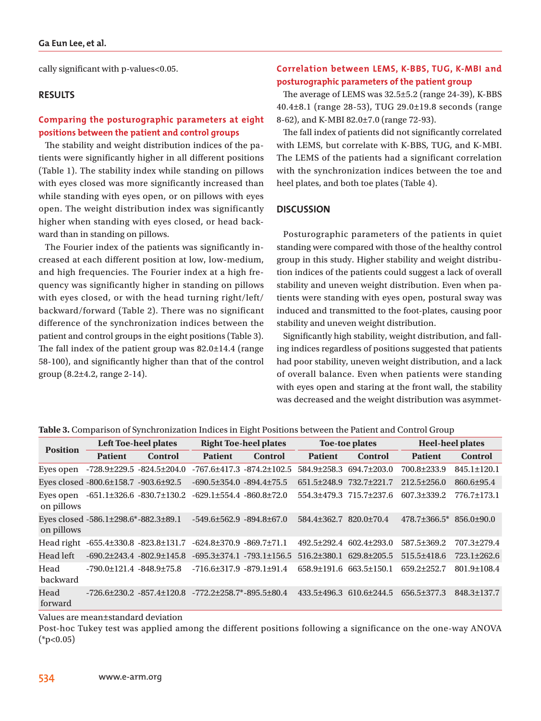cally significant with p-values<0.05.

# **RESULTS**

# **Comparing the posturographic parameters at eight positions between the patient and control groups**

The stability and weight distribution indices of the patients were significantly higher in all different positions (Table 1). The stability index while standing on pillows with eyes closed was more significantly increased than while standing with eyes open, or on pillows with eyes open. The weight distribution index was significantly higher when standing with eyes closed, or head backward than in standing on pillows.

The Fourier index of the patients was significantly increased at each different position at low, low-medium, and high frequencies. The Fourier index at a high frequency was significantly higher in standing on pillows with eyes closed, or with the head turning right/left/ backward/forward (Table 2). There was no significant difference of the synchronization indices between the patient and control groups in the eight positions (Table 3). The fall index of the patient group was 82.0±14.4 (range 58-100), and significantly higher than that of the control group (8.2±4.2, range 2-14).

# **Correlation between LEMS, K-BBS, TUG, K-MBI and posturographic parameters of the patient group**

The average of LEMS was 32.5±5.2 (range 24-39), K-BBS 40.4±8.1 (range 28-53), TUG 29.0±19.8 seconds (range 8-62), and K-MBI 82.0±7.0 (range 72-93).

The fall index of patients did not significantly correlated with LEMS, but correlate with K-BBS, TUG, and K-MBI. The LEMS of the patients had a significant correlation with the synchronization indices between the toe and heel plates, and both toe plates (Table 4).

# **DISCUSSION**

Posturographic parameters of the patients in quiet standing were compared with those of the healthy control group in this study. Higher stability and weight distribution indices of the patients could suggest a lack of overall stability and uneven weight distribution. Even when patients were standing with eyes open, postural sway was induced and transmitted to the foot-plates, causing poor stability and uneven weight distribution.

Significantly high stability, weight distribution, and falling indices regardless of positions suggested that patients had poor stability, uneven weight distribution, and a lack of overall balance. Even when patients were standing with eyes open and staring at the front wall, the stability was decreased and the weight distribution was asymmet-

|  |  |  | Table 3. Comparison of Synchronization Indices in Eight Positions between the Patient and Control Group |  |
|--|--|--|---------------------------------------------------------------------------------------------------------|--|
|--|--|--|---------------------------------------------------------------------------------------------------------|--|

| <b>Position</b>         | <b>Left Toe-heel plates</b>                        |                                                                                     | <b>Right Toe-heel plates</b>         |                | Toe-toe plates                      |                         | <b>Heel-heel plates</b> |                   |
|-------------------------|----------------------------------------------------|-------------------------------------------------------------------------------------|--------------------------------------|----------------|-------------------------------------|-------------------------|-------------------------|-------------------|
|                         | <b>Patient</b>                                     | <b>Control</b>                                                                      | <b>Patient</b>                       | <b>Control</b> | <b>Patient</b>                      | <b>Control</b>          | <b>Patient</b>          | <b>Control</b>    |
| Eyes open               | $-728.9 \pm 229.5 - 824.5 \pm 204.0$               |                                                                                     | $-767.6 \pm 417.3 -874.2 \pm 102.5$  |                | 584.9+258.3                         | $694.7 \pm 203.0$       | 700.8±233.9             | 845.1±120.1       |
|                         | Eyes closed -800.6±158.7 -903.6±92.5               |                                                                                     | $-690.5 \pm 354.0$ $-894.4 \pm 75.5$ |                | 651.5±248.9                         | 732.7±221.7             | $212.5 \pm 256.0$       | 860.6±95.4        |
| Eyes open<br>on pillows | $-651.1 \pm 326.6 - 830.7 \pm 130.2$               |                                                                                     | $-629.1 \pm 554.4 - 860.8 \pm 72.0$  |                |                                     | 554.3±479.3 715.7±237.6 | 607.3±339.2             | 776.7±173.1       |
| on pillows              | Eyes closed $-586.1 \pm 298.6$ * $-882.3 \pm 89.1$ |                                                                                     | $-549.6 \pm 562.9$ $-894.8 \pm 67.0$ |                | $584.4 \pm 362.7$ $820.0 \pm 70.4$  |                         | $478.7 \pm 366.5^*$     | $856.0 \pm 90.0$  |
| Head right              | $-655.4 \pm 330.8 - 823.8 \pm 131.7$               |                                                                                     | $-624.8 \pm 370.9 - 869.7 \pm 71.1$  |                | 492.5+292.4                         | $602.4 \pm 293.0$       | 587.5+369.2             | 707.3±279.4       |
| Head left               | $-690.2 \pm 243.4 -802.9 \pm 145.8$                |                                                                                     | $-695.3 \pm 374.1 - 793.1 \pm 156.5$ |                | $516.2\pm380.1$                     | $629.8 \pm 205.5$       | $515.5\pm418.6$         | $723.1 \pm 262.6$ |
| Head<br><b>backward</b> | $-790.0 \pm 121.4 -848.9 \pm 75.8$                 |                                                                                     | $-716.6 \pm 317.9 - 879.1 \pm 91.4$  |                | $658.9 \pm 191.6$ $663.5 \pm 150.1$ |                         | $659.2 \pm 252.7$       | 801.9±108.4       |
| Head<br>forward         |                                                    | $-726.6\pm 230.2$ $-857.4\pm 120.8$ $-772.2\pm 258.7$ <sup>*</sup> $-895.5\pm 80.4$ |                                      |                | $433.5 \pm 496.3$                   | $610.6 \pm 244.5$       | 656.5±377.3             | 848.3±137.7       |

Values are mean±standard deviation

Post-hoc Tukey test was applied among the different positions following a significance on the one-way ANOVA  $(*p<0.05)$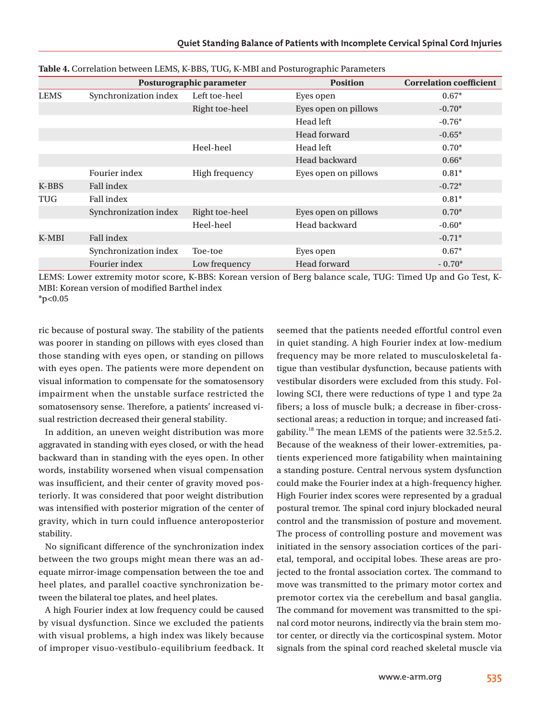|             |                       | Posturographic parameter | <b>Position</b>      | <b>Correlation coefficient</b> |  |
|-------------|-----------------------|--------------------------|----------------------|--------------------------------|--|
| <b>LEMS</b> | Synchronization index | Left toe-heel            | Eyes open            | $0.67*$                        |  |
|             |                       | Right toe-heel           | Eyes open on pillows | $-0.70*$                       |  |
|             |                       |                          | Head left            | $-0.76*$                       |  |
|             |                       |                          | Head forward         | $-0.65*$                       |  |
|             |                       | Heel-heel                | Head left            | $0.70*$                        |  |
|             |                       |                          | Head backward        | $0.66*$                        |  |
|             | Fourier index         | High frequency           | Eyes open on pillows | $0.81*$                        |  |
| K-BBS       | <b>Fall index</b>     |                          |                      | $-0.72*$                       |  |
| TUG         | <b>Fall index</b>     |                          |                      | $0.81*$                        |  |
|             | Synchronization index | Right toe-heel           | Eyes open on pillows | $0.70*$                        |  |
|             |                       | Heel-heel                | Head backward        | $-0.60*$                       |  |
| K-MBI       | <b>Fall index</b>     |                          |                      | $-0.71*$                       |  |
|             | Synchronization index | Toe-toe                  | Eyes open            | $0.67*$                        |  |
|             | Fourier index         | Low frequency            | Head forward         | $-0.70*$                       |  |

#### **Table 4.** Correlation between LEMS, K-BBS, TUG, K-MBI and Posturographic Parameters

LEMS: Lower extremity motor score, K-BBS: Korean version of Berg balance scale, TUG: Timed Up and Go Test, K-MBI: Korean version of modified Barthel index  $*p<0.05$ 

ric because of postural sway. The stability of the patients was poorer in standing on pillows with eyes closed than those standing with eyes open, or standing on pillows with eyes open. The patients were more dependent on visual information to compensate for the somatosensory impairment when the unstable surface restricted the somatosensory sense. Therefore, a patients' increased visual restriction decreased their general stability.

In addition, an uneven weight distribution was more aggravated in standing with eyes closed, or with the head backward than in standing with the eyes open. In other words, instability worsened when visual compensation was insufficient, and their center of gravity moved posteriorly. It was considered that poor weight distribution was intensified with posterior migration of the center of gravity, which in turn could influence anteroposterior stability.

No significant difference of the synchronization index between the two groups might mean there was an adequate mirror-image compensation between the toe and heel plates, and parallel coactive synchronization between the bilateral toe plates, and heel plates.

A high Fourier index at low frequency could be caused by visual dysfunction. Since we excluded the patients with visual problems, a high index was likely because of improper visuo-vestibulo-equilibrium feedback. It

seemed that the patients needed effortful control even in quiet standing. A high Fourier index at low-medium frequency may be more related to musculoskeletal fatigue than vestibular dysfunction, because patients with vestibular disorders were excluded from this study. Following SCI, there were reductions of type 1 and type 2a fibers; a loss of muscle bulk; a decrease in fiber-crosssectional areas; a reduction in torque; and increased fatigability.<sup>18</sup> The mean LEMS of the patients were  $32.5 \pm 5.2$ . Because of the weakness of their lower-extremities, patients experienced more fatigability when maintaining a standing posture. Central nervous system dysfunction could make the Fourier index at a high-frequency higher. High Fourier index scores were represented by a gradual postural tremor. The spinal cord injury blockaded neural control and the transmission of posture and movement. The process of controlling posture and movement was initiated in the sensory association cortices of the parietal, temporal, and occipital lobes. These areas are projected to the frontal association cortex. The command to move was transmitted to the primary motor cortex and premotor cortex via the cerebellum and basal ganglia. The command for movement was transmitted to the spinal cord motor neurons, indirectly via the brain stem motor center, or directly via the corticospinal system. Motor signals from the spinal cord reached skeletal muscle via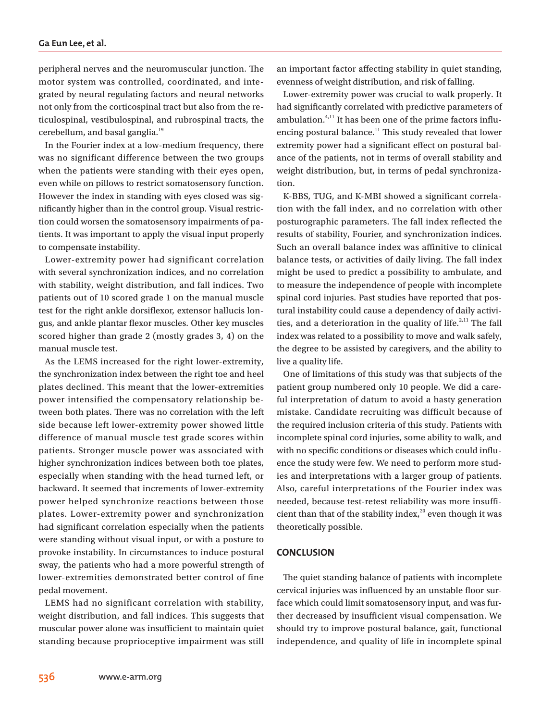peripheral nerves and the neuromuscular junction. The motor system was controlled, coordinated, and integrated by neural regulating factors and neural networks not only from the corticospinal tract but also from the reticulospinal, vestibulospinal, and rubrospinal tracts, the cerebellum, and basal ganglia.<sup>19</sup>

In the Fourier index at a low-medium frequency, there was no significant difference between the two groups when the patients were standing with their eyes open, even while on pillows to restrict somatosensory function. However the index in standing with eyes closed was significantly higher than in the control group. Visual restriction could worsen the somatosensory impairments of patients. It was important to apply the visual input properly to compensate instability.

Lower-extremity power had significant correlation with several synchronization indices, and no correlation with stability, weight distribution, and fall indices. Two patients out of 10 scored grade 1 on the manual muscle test for the right ankle dorsiflexor, extensor hallucis longus, and ankle plantar flexor muscles. Other key muscles scored higher than grade 2 (mostly grades 3, 4) on the manual muscle test.

As the LEMS increased for the right lower-extremity, the synchronization index between the right toe and heel plates declined. This meant that the lower-extremities power intensified the compensatory relationship between both plates. There was no correlation with the left side because left lower-extremity power showed little difference of manual muscle test grade scores within patients. Stronger muscle power was associated with higher synchronization indices between both toe plates, especially when standing with the head turned left, or backward. It seemed that increments of lower-extremity power helped synchronize reactions between those plates. Lower-extremity power and synchronization had significant correlation especially when the patients were standing without visual input, or with a posture to provoke instability. In circumstances to induce postural sway, the patients who had a more powerful strength of lower-extremities demonstrated better control of fine pedal movement.

LEMS had no significant correlation with stability, weight distribution, and fall indices. This suggests that muscular power alone was insufficient to maintain quiet standing because proprioceptive impairment was still an important factor affecting stability in quiet standing, evenness of weight distribution, and risk of falling.

Lower-extremity power was crucial to walk properly. It had significantly correlated with predictive parameters of ambulation. $4,11$  It has been one of the prime factors influencing postural balance.<sup>11</sup> This study revealed that lower extremity power had a significant effect on postural balance of the patients, not in terms of overall stability and weight distribution, but, in terms of pedal synchronization.

K-BBS, TUG, and K-MBI showed a significant correlation with the fall index, and no correlation with other posturographic parameters. The fall index reflected the results of stability, Fourier, and synchronization indices. Such an overall balance index was affinitive to clinical balance tests, or activities of daily living. The fall index might be used to predict a possibility to ambulate, and to measure the independence of people with incomplete spinal cord injuries. Past studies have reported that postural instability could cause a dependency of daily activities, and a deterioration in the quality of life.<sup> $2,11$ </sup> The fall index was related to a possibility to move and walk safely, the degree to be assisted by caregivers, and the ability to live a quality life.

One of limitations of this study was that subjects of the patient group numbered only 10 people. We did a careful interpretation of datum to avoid a hasty generation mistake. Candidate recruiting was difficult because of the required inclusion criteria of this study. Patients with incomplete spinal cord injuries, some ability to walk, and with no specific conditions or diseases which could influence the study were few. We need to perform more studies and interpretations with a larger group of patients. Also, careful interpretations of the Fourier index was needed, because test-retest reliability was more insufficient than that of the stability index, $^{20}$  even though it was theoretically possible.

## **CONCLUSION**

The quiet standing balance of patients with incomplete cervical injuries was influenced by an unstable floor surface which could limit somatosensory input, and was further decreased by insufficient visual compensation. We should try to improve postural balance, gait, functional independence, and quality of life in incomplete spinal